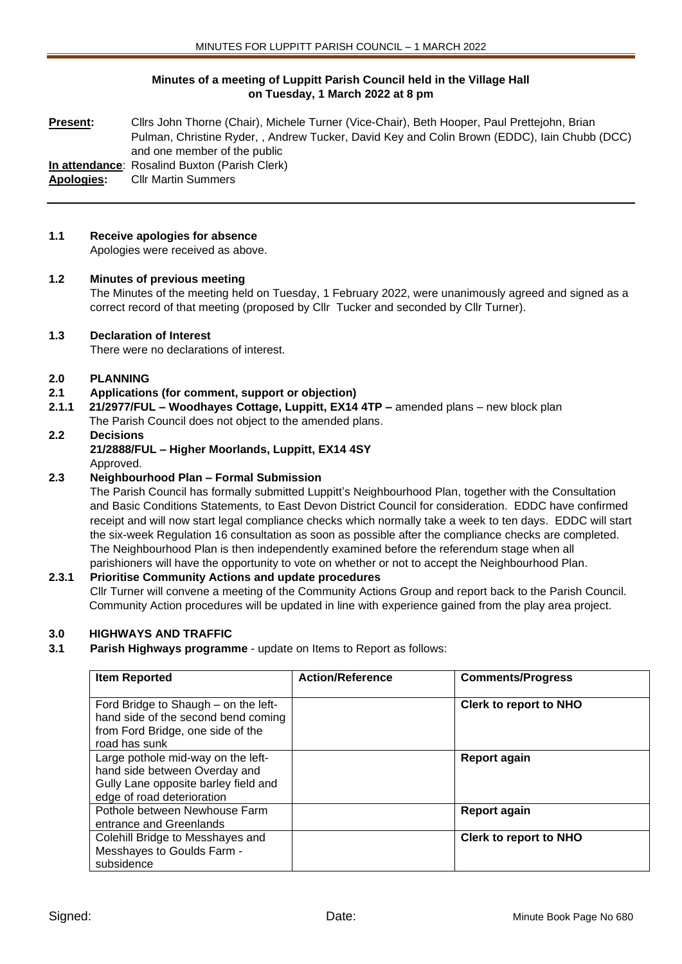## **Minutes of a meeting of Luppitt Parish Council held in the Village Hall on Tuesday, 1 March 2022 at 8 pm**

**Present:** Cllrs John Thorne (Chair), Michele Turner (Vice-Chair), Beth Hooper, Paul Prettejohn, Brian Pulman, Christine Ryder, , Andrew Tucker, David Key and Colin Brown (EDDC), Iain Chubb (DCC) and one member of the public

**In attendance**: Rosalind Buxton (Parish Clerk)

**Apologies:** Cllr Martin Summers

## **1.1 Receive apologies for absence**

Apologies were received as above.

### **1.2 Minutes of previous meeting**

The Minutes of the meeting held on Tuesday, 1 February 2022, were unanimously agreed and signed as a correct record of that meeting (proposed by Cllr Tucker and seconded by Cllr Turner).

### **1.3 Declaration of Interest**

There were no declarations of interest.

### **2.0 PLANNING**

- **2.1 Applications (for comment, support or objection)**
- **2.1.1 21/2977/FUL – Woodhayes Cottage, Luppitt, EX14 4TP –** amended plans new block plan The Parish Council does not object to the amended plans.

### **2.2 Decisions 21/2888/FUL – Higher Moorlands, Luppitt, EX14 4SY** Approved.

# **2.3 Neighbourhood Plan – Formal Submission**

The Parish Council has formally submitted Luppitt's Neighbourhood Plan, together with the Consultation and Basic Conditions Statements, to East Devon District Council for consideration. EDDC have confirmed receipt and will now start legal compliance checks which normally take a week to ten days. EDDC will start the six-week Regulation 16 consultation as soon as possible after the compliance checks are completed. The Neighbourhood Plan is then independently examined before the referendum stage when all parishioners will have the opportunity to vote on whether or not to accept the Neighbourhood Plan.

## **2.3.1 Prioritise Community Actions and update procedures**

Cllr Turner will convene a meeting of the Community Actions Group and report back to the Parish Council. Community Action procedures will be updated in line with experience gained from the play area project.

## **3.0 HIGHWAYS AND TRAFFIC**

**3.1 Parish Highways programme** - update on Items to Report as follows:

| <b>Item Reported</b>                                                                                                                      | <b>Action/Reference</b> | <b>Comments/Progress</b>      |
|-------------------------------------------------------------------------------------------------------------------------------------------|-------------------------|-------------------------------|
| Ford Bridge to Shaugh – on the left-<br>hand side of the second bend coming<br>from Ford Bridge, one side of the<br>road has sunk         |                         | <b>Clerk to report to NHO</b> |
| Large pothole mid-way on the left-<br>hand side between Overday and<br>Gully Lane opposite barley field and<br>edge of road deterioration |                         | <b>Report again</b>           |
| Pothole between Newhouse Farm<br>entrance and Greenlands                                                                                  |                         | <b>Report again</b>           |
| Colehill Bridge to Messhayes and<br>Messhayes to Goulds Farm -<br>subsidence                                                              |                         | <b>Clerk to report to NHO</b> |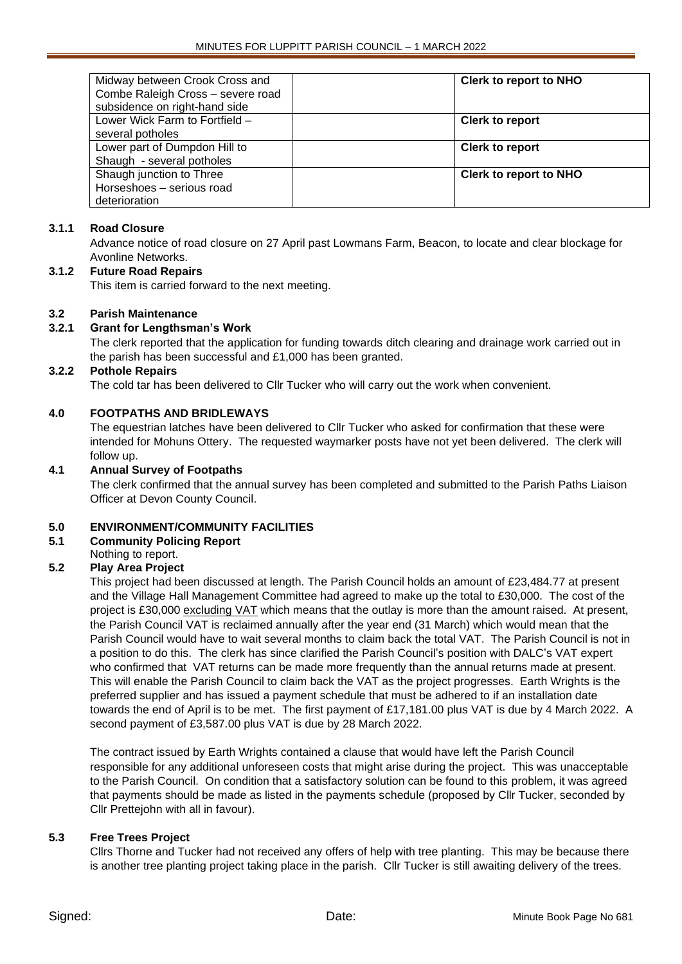| <b>Clerk to report to NHO</b> |
|-------------------------------|
|                               |
|                               |
| <b>Clerk to report</b>        |
|                               |
| <b>Clerk to report</b>        |
|                               |
| <b>Clerk to report to NHO</b> |
|                               |
|                               |
|                               |

### **3.1.1 Road Closure**

Advance notice of road closure on 27 April past Lowmans Farm, Beacon, to locate and clear blockage for Avonline Networks.

### **3.1.2 Future Road Repairs**

This item is carried forward to the next meeting.

### **3.2 Parish Maintenance**

### **3.2.1 Grant for Lengthsman's Work**

The clerk reported that the application for funding towards ditch clearing and drainage work carried out in the parish has been successful and £1,000 has been granted.

#### **3.2.2 Pothole Repairs**

The cold tar has been delivered to Cllr Tucker who will carry out the work when convenient.

### **4.0 FOOTPATHS AND BRIDLEWAYS**

The equestrian latches have been delivered to Cllr Tucker who asked for confirmation that these were intended for Mohuns Ottery. The requested waymarker posts have not yet been delivered. The clerk will follow up.

### **4.1 Annual Survey of Footpaths**

The clerk confirmed that the annual survey has been completed and submitted to the Parish Paths Liaison Officer at Devon County Council.

## **5.0 ENVIRONMENT/COMMUNITY FACILITIES**

- **5.1 Community Policing Report**
- Nothing to report.

## **5.2 Play Area Project**

This project had been discussed at length. The Parish Council holds an amount of £23,484.77 at present and the Village Hall Management Committee had agreed to make up the total to £30,000. The cost of the project is £30,000 excluding VAT which means that the outlay is more than the amount raised. At present, the Parish Council VAT is reclaimed annually after the year end (31 March) which would mean that the Parish Council would have to wait several months to claim back the total VAT. The Parish Council is not in a position to do this. The clerk has since clarified the Parish Council's position with DALC's VAT expert who confirmed that VAT returns can be made more frequently than the annual returns made at present. This will enable the Parish Council to claim back the VAT as the project progresses. Earth Wrights is the preferred supplier and has issued a payment schedule that must be adhered to if an installation date towards the end of April is to be met. The first payment of £17,181.00 plus VAT is due by 4 March 2022. A second payment of £3,587.00 plus VAT is due by 28 March 2022.

The contract issued by Earth Wrights contained a clause that would have left the Parish Council responsible for any additional unforeseen costs that might arise during the project. This was unacceptable to the Parish Council. On condition that a satisfactory solution can be found to this problem, it was agreed that payments should be made as listed in the payments schedule (proposed by Cllr Tucker, seconded by Cllr Prettejohn with all in favour).

#### **5.3 Free Trees Project**

Cllrs Thorne and Tucker had not received any offers of help with tree planting. This may be because there is another tree planting project taking place in the parish. Cllr Tucker is still awaiting delivery of the trees.